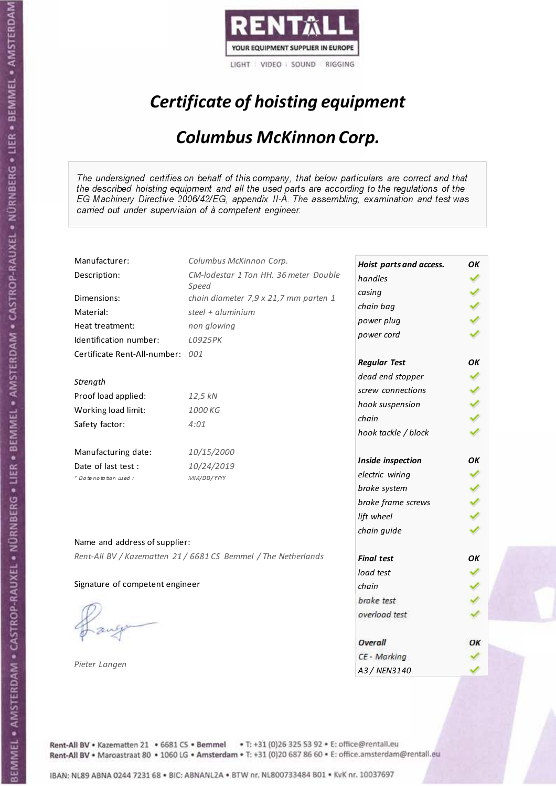

# Certificate of hoisting equipment

### Columbus McKinnon Corp.

The undersigned certifies on behalf of this company, that below particulars are correct and that the described hoisting equipment and all the used parts are according to the regulations of the EG Machinery Directive 2006/42/EG, appendix II-A. The assembling, examination and test was carried out under supervision of à competent engineer.

| Manufacturer:                    | Columbus McKinnon Corp.                                        | Hoist parts and access. | OK |
|----------------------------------|----------------------------------------------------------------|-------------------------|----|
| Description:                     | CM-lodestar 1 Ton HH. 36 meter Double                          | handles                 |    |
|                                  | Speed                                                          | casing                  |    |
| Dimensions:                      | chain diameter 7,9 x 21,7 mm parten 1                          | chain bag               |    |
| Material:                        | steel + $aluminim$                                             | power plug              |    |
| Heat treatment:                  | non glowing                                                    | power cord              |    |
| Identification number:           | L0925PK                                                        |                         |    |
| Certificate Rent-All-number: 001 |                                                                | <b>Regular Test</b>     | OК |
| Strength                         |                                                                | dead end stopper        |    |
| Proof load applied:              | 12,5 kN                                                        | screw connections       |    |
| Working load limit:              | 1000 KG                                                        | hook suspension         |    |
|                                  |                                                                | chain                   |    |
| Safety factor:                   | 4:01                                                           | hook tackle / block     |    |
| Manufacturing date:              | 10/15/2000                                                     |                         | OK |
| Date of last test :              | 10/24/2019                                                     | Inside inspection       |    |
| + Date notation used :           | MM/DD/YYYY                                                     | electric wiring         |    |
|                                  |                                                                | brake system            |    |
|                                  |                                                                | brake frame screws      |    |
|                                  |                                                                | lift wheel              |    |
| Name and address of supplier:    |                                                                | chain guide             |    |
|                                  |                                                                |                         |    |
|                                  | Rent-All BV / Kazematten 21 / 6681 CS Bemmel / The Netherlands | <b>Final test</b>       | OK |
|                                  |                                                                | load test               |    |
| Signature of competent engineer  |                                                                | chain                   |    |
|                                  |                                                                | brake test              |    |
|                                  |                                                                | overload test           |    |
|                                  |                                                                | Overall                 | ОΚ |
|                                  |                                                                | CE - Marking            |    |
| Pieter Langen                    |                                                                | A3 / NEN3140            |    |

Rent-All BV . Kazematten 21 . 6681 CS . Bemmel . T: +31 (0)26 325 53 92 . E: office@rentall.eu Rent-All BV · Maroastraat 80 · 1060 LG · Amsterdam · T: +31 (0)20 687 86 60 · E: office.amsterdam@rentall.eu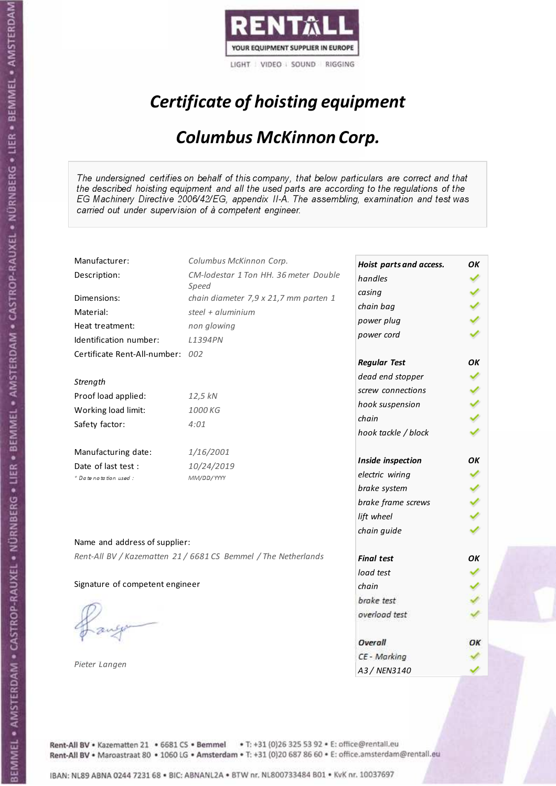

# Certificate of hoisting equipment

### Columbus McKinnon Corp.

The undersigned certifies on behalf of this company, that below particulars are correct and that the described hoisting equipment and all the used parts are according to the regulations of the EG Machinery Directive 2006/42/EG, appendix II-A. The assembling, examination and test was carried out under supervision of à competent engineer.

| Manufacturer:                    | Columbus McKinnon Corp.                                        | Hoist parts and access. | OK |
|----------------------------------|----------------------------------------------------------------|-------------------------|----|
| Description:                     | CM-lodestar 1 Ton HH. 36 meter Double                          | handles                 |    |
|                                  | Speed                                                          | casing                  |    |
| Dimensions:                      | chain diameter 7,9 x 21,7 mm parten 1                          | chain bag               |    |
| Material:                        | steel + $aluminim$                                             | power plug              |    |
| Heat treatment:                  | non glowing                                                    | power cord              |    |
| Identification number:           | L1394PN                                                        |                         |    |
| Certificate Rent-All-number: 002 |                                                                | <b>Regular Test</b>     | OΚ |
|                                  |                                                                | dead end stopper        |    |
| Strength                         |                                                                | screw connections       |    |
| Proof load applied:              | 12,5 kN                                                        | hook suspension         |    |
| Working load limit:              | 1000 KG                                                        | chain                   |    |
| Safety factor:                   | 4:01                                                           |                         |    |
|                                  |                                                                | hook tackle / block     |    |
| Manufacturing date:              | 1/16/2001                                                      |                         |    |
| Date of last test :              | 10/24/2019                                                     | Inside inspection       | OK |
| * Date notation used:            | MM/DD/YYYY                                                     | electric wiring         |    |
|                                  |                                                                | brake system            |    |
|                                  |                                                                | brake frame screws      |    |
|                                  |                                                                | lift wheel              |    |
|                                  |                                                                | chain guide             |    |
| Name and address of supplier:    |                                                                |                         |    |
|                                  | Rent-All BV / Kazematten 21 / 6681 CS Bemmel / The Netherlands | <b>Final test</b>       | OК |
|                                  |                                                                | load test               |    |
| Signature of competent engineer  |                                                                | chain                   |    |
|                                  |                                                                | brake test              |    |
|                                  |                                                                | overload test           |    |
|                                  |                                                                |                         |    |
|                                  |                                                                | Overall                 | ОΚ |
|                                  |                                                                | CE - Marking            |    |
| Pieter Langen                    |                                                                | A3 / NEN3140            |    |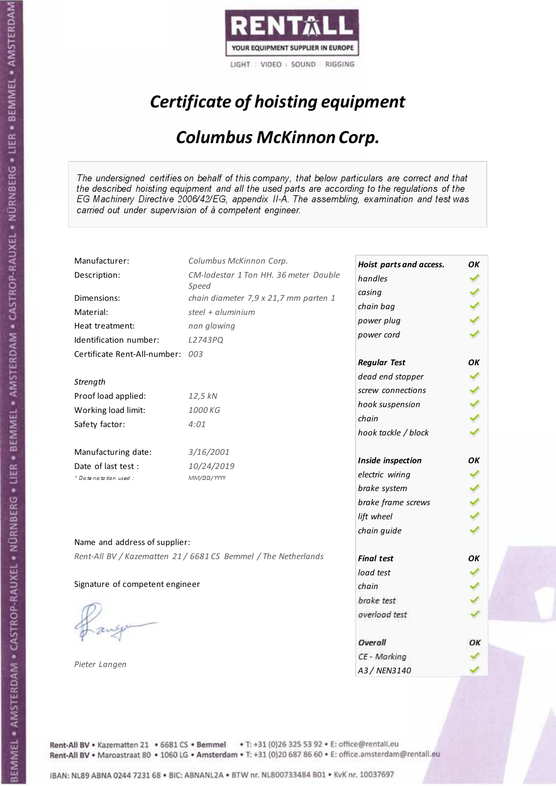

# Certificate of hoisting equipment

### Columbus McKinnon Corp.

The undersigned certifies on behalf of this company, that below particulars are correct and that the described hoisting equipment and all the used parts are according to the regulations of the EG Machinery Directive 2006/42/EG, appendix II-A. The assembling, examination and test was carried out under supervision of à competent engineer.

| Manufacturer:                    | Columbus McKinnon Corp.                                        | Hoist parts and access. | OK |
|----------------------------------|----------------------------------------------------------------|-------------------------|----|
| Description:                     | CM-lodestar 1 Ton HH. 36 meter Double                          | handles                 |    |
| Dimensions:                      | Speed                                                          | casing                  |    |
|                                  | chain diameter 7,9 x 21,7 mm parten 1<br>steel + $aluminim$    | chain bag               |    |
| Material:                        |                                                                | power plug              |    |
| Heat treatment:                  | non glowing                                                    | power cord              |    |
| Identification number:           | L2743PQ                                                        |                         |    |
| Certificate Rent-All-number: 003 |                                                                | <b>Regular Test</b>     | OК |
|                                  |                                                                | dead end stopper        |    |
| Strength                         |                                                                | screw connections       |    |
| Proof load applied:              | 12,5 kN                                                        | hook suspension         |    |
| Working load limit:              | 1000 KG                                                        | chain                   |    |
| Safety factor:                   | 4:01                                                           | hook tackle / block     |    |
| Manufacturing date:              | 3/16/2001                                                      |                         |    |
| Date of last test :              | 10/24/2019                                                     | Inside inspection       | OK |
| * Date notation used:            | MM/DD/YYYY                                                     | electric wiring         |    |
|                                  |                                                                | brake system            |    |
|                                  |                                                                | brake frame screws      |    |
|                                  |                                                                | lift wheel              |    |
|                                  |                                                                | chain guide             |    |
| Name and address of supplier:    |                                                                |                         |    |
|                                  | Rent-All BV / Kazematten 21 / 6681 CS Bemmel / The Netherlands | <b>Final test</b>       | OK |
|                                  |                                                                | load test               |    |
| Signature of competent engineer  |                                                                | chain                   |    |
|                                  |                                                                | brake test              |    |
|                                  |                                                                | overload test           |    |
|                                  |                                                                |                         |    |
|                                  |                                                                | Overall                 | ОΚ |
|                                  |                                                                | CE - Marking            |    |
| Pieter Langen                    |                                                                | A3 / NEN3140            |    |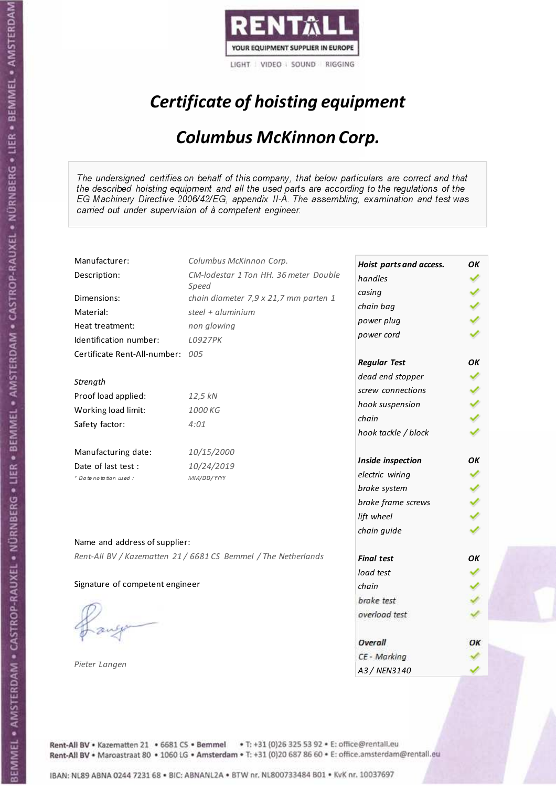

# Certificate of hoisting equipment

### Columbus McKinnon Corp.

The undersigned certifies on behalf of this company, that below particulars are correct and that the described hoisting equipment and all the used parts are according to the regulations of the EG Machinery Directive 2006/42/EG, appendix II-A. The assembling, examination and test was carried out under supervision of à competent engineer.

| Manufacturer:                    | Columbus McKinnon Corp.                                        | Hoist parts and access. | OK |
|----------------------------------|----------------------------------------------------------------|-------------------------|----|
| Description:                     | CM-lodestar 1 Ton HH. 36 meter Double                          | handles                 |    |
|                                  | Speed                                                          | casing                  |    |
| Dimensions:                      | chain diameter 7,9 x 21,7 mm parten 1                          | chain bag               |    |
| Material:                        | steel + $aluminim$                                             | power plug              |    |
| Heat treatment:                  | non glowing                                                    | power cord              |    |
| Identification number:           | L0927PK                                                        |                         |    |
| Certificate Rent-All-number: 005 |                                                                | <b>Regular Test</b>     | OК |
| Strength                         |                                                                | dead end stopper        |    |
| Proof load applied:              | 12,5 kN                                                        | screw connections       |    |
| Working load limit:              | 1000 KG                                                        | hook suspension         |    |
|                                  |                                                                | chain                   |    |
| Safety factor:                   | 4:01                                                           | hook tackle / block     |    |
| Manufacturing date:              | 10/15/2000                                                     |                         | OK |
| Date of last test :              | 10/24/2019                                                     | Inside inspection       |    |
| + Date notation used :           | MM/DD/YYYY                                                     | electric wiring         |    |
|                                  |                                                                | brake system            |    |
|                                  |                                                                | brake frame screws      |    |
|                                  |                                                                | lift wheel              |    |
| Name and address of supplier:    |                                                                | chain guide             |    |
|                                  | Rent-All BV / Kazematten 21 / 6681 CS Bemmel / The Netherlands |                         |    |
|                                  |                                                                | <b>Final test</b>       | OK |
|                                  |                                                                | load test               |    |
| Signature of competent engineer  |                                                                | chain                   |    |
|                                  |                                                                | brake test              |    |
|                                  |                                                                | overload test           |    |
|                                  |                                                                | Overall                 | ОΚ |
|                                  |                                                                | CE - Marking            |    |
| Pieter Langen                    |                                                                | A3 / NEN3140            |    |

Rent-All BV . Kazematten 21 . 6681 CS . Bemmel . T: +31 (0)26 325 53 92 . E: office@rentall.eu Rent-All BV · Maroastraat 80 · 1060 LG · Amsterdam · T: +31 (0)20 687 86 60 · E: office.amsterdam@rentall.eu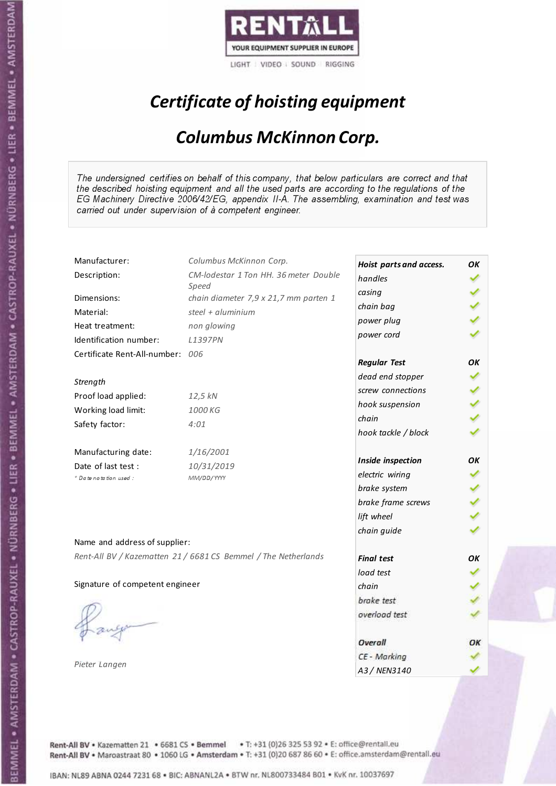

# Certificate of hoisting equipment

### Columbus McKinnon Corp.

The undersigned certifies on behalf of this company, that below particulars are correct and that the described hoisting equipment and all the used parts are according to the regulations of the EG Machinery Directive 2006/42/EG, appendix II-A. The assembling, examination and test was carried out under supervision of à competent engineer.

| Manufacturer:                    | Columbus McKinnon Corp.                                        | Hoist parts and access. | OK |
|----------------------------------|----------------------------------------------------------------|-------------------------|----|
| Description:                     | CM-lodestar 1 Ton HH. 36 meter Double                          | handles                 |    |
|                                  | Speed                                                          | casing                  |    |
| Dimensions:                      | chain diameter 7,9 x 21,7 mm parten 1                          | chain bag               |    |
| Material:                        | steel $+$ aluminium                                            | power plug              |    |
| Heat treatment:                  | non glowing                                                    | power cord              |    |
| Identification number:           | L1397PN                                                        |                         |    |
| Certificate Rent-All-number: 006 |                                                                | <b>Regular Test</b>     | OК |
|                                  |                                                                | dead end stopper        |    |
| Strength                         |                                                                | screw connections       |    |
| Proof load applied:              | 12,5 kN                                                        | hook suspension         |    |
| Working load limit:              | 1000 KG                                                        |                         |    |
| Safety factor:                   | 4:01                                                           | chain                   |    |
|                                  |                                                                | hook tackle / block     |    |
| Manufacturing date:              | 1/16/2001                                                      |                         |    |
| Date of last test :              | 10/31/2019                                                     | Inside inspection       | OK |
| + Date notation used:            | MM/DD/YYYY                                                     | electric wiring         |    |
|                                  |                                                                | brake system            |    |
|                                  |                                                                | brake frame screws      |    |
|                                  |                                                                | lift wheel              |    |
|                                  |                                                                | chain guide             |    |
| Name and address of supplier:    |                                                                |                         |    |
|                                  | Rent-All BV / Kazematten 21 / 6681 CS Bemmel / The Netherlands | <b>Final test</b>       | OK |
|                                  |                                                                | load test               |    |
| Signature of competent engineer  |                                                                | chain                   |    |
|                                  |                                                                | brake test              |    |
|                                  |                                                                | overload test           |    |
|                                  |                                                                |                         |    |
|                                  |                                                                | Overall                 | ОΚ |
|                                  |                                                                | CE - Marking            |    |
| Pieter Langen                    |                                                                | A3 / NEN3140            |    |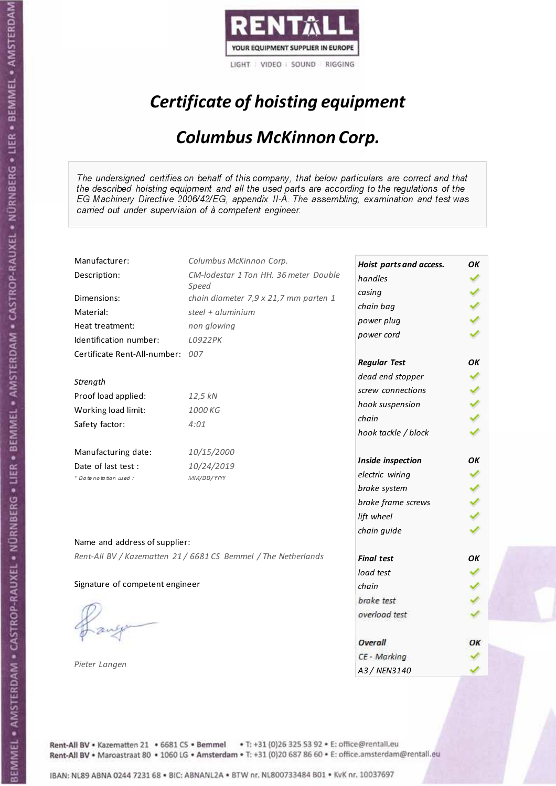

# Certificate of hoisting equipment

### Columbus McKinnon Corp.

The undersigned certifies on behalf of this company, that below particulars are correct and that the described hoisting equipment and all the used parts are according to the regulations of the EG Machinery Directive 2006/42/EG, appendix II-A. The assembling, examination and test was carried out under supervision of à competent engineer.

| Manufacturer:                    | Columbus McKinnon Corp.                                        | Hoist parts and access. | OK |
|----------------------------------|----------------------------------------------------------------|-------------------------|----|
| Description:                     | CM-lodestar 1 Ton HH. 36 meter Double                          | handles                 |    |
|                                  | Speed                                                          | casing                  |    |
| Dimensions:                      | chain diameter 7,9 x 21,7 mm parten 1                          | chain bag               |    |
| Material:                        | steel + $aluminim$                                             | power plug              |    |
| Heat treatment:                  | non glowing                                                    | power cord              |    |
| Identification number:           | L0922PK                                                        |                         |    |
| Certificate Rent-All-number: 007 |                                                                | <b>Regular Test</b>     | OК |
| Strength                         |                                                                | dead end stopper        |    |
| Proof load applied:              | 12,5 kN                                                        | screw connections       |    |
| Working load limit:              | 1000 KG                                                        | hook suspension         |    |
|                                  |                                                                | chain                   |    |
| Safety factor:                   | 4:01                                                           | hook tackle / block     |    |
| Manufacturing date:              | 10/15/2000                                                     |                         | OK |
| Date of last test :              | 10/24/2019                                                     | Inside inspection       |    |
| + Date notation used :           | MM/DD/YYYY                                                     | electric wiring         |    |
|                                  |                                                                | brake system            |    |
|                                  |                                                                | brake frame screws      |    |
|                                  |                                                                | lift wheel              |    |
| Name and address of supplier:    |                                                                | chain guide             |    |
|                                  | Rent-All BV / Kazematten 21 / 6681 CS Bemmel / The Netherlands |                         |    |
|                                  |                                                                | <b>Final test</b>       | OK |
|                                  |                                                                | load test               |    |
| Signature of competent engineer  |                                                                | chain                   |    |
|                                  |                                                                | brake test              |    |
|                                  |                                                                | overload test           |    |
|                                  |                                                                | Overall                 | ОΚ |
|                                  |                                                                | CE - Marking            |    |
| Pieter Langen                    |                                                                | A3 / NEN3140            |    |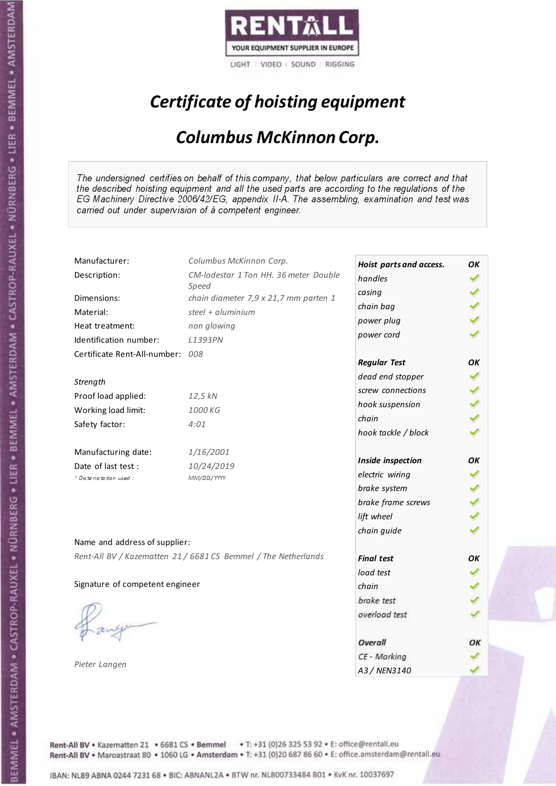

# Certificate of hoisting equipment

### Columbus McKinnon Corp.

The undersigned certifies on behalf of this company, that below particulars are correct and that the described hoisting equipment and all the used parts are according to the regulations of the EG Machinery Directive 2006/42/EG, appendix II-A. The assembling, examination and test was carried out under supervision of à competent engineer.

| Manufacturer:                    | Columbus McKinnon Corp.                                        | Hoist parts and access. | OK |
|----------------------------------|----------------------------------------------------------------|-------------------------|----|
| Description:                     | CM-lodestar 1 Ton HH. 36 meter Double                          | handles                 |    |
| Dimensions:                      | Speed<br>chain diameter 7,9 x 21,7 mm parten 1                 | casing                  |    |
|                                  | steel + $aluminim$                                             | chain bag               |    |
| Material:                        |                                                                | power plug              |    |
| Heat treatment:                  | non glowing                                                    | power cord              |    |
| Identification number:           | L1393PN                                                        |                         |    |
| Certificate Rent-All-number: 008 |                                                                | <b>Regular Test</b>     | OК |
|                                  |                                                                | dead end stopper        |    |
| Strength                         |                                                                | screw connections       |    |
| Proof load applied:              | 12,5 kN                                                        | hook suspension         |    |
| Working load limit:              | 1000 KG                                                        | chain                   |    |
| Safety factor:                   | 4:01                                                           | hook tackle / block     |    |
| Manufacturing date:              | 1/16/2001                                                      |                         |    |
| Date of last test :              | 10/24/2019                                                     | Inside inspection       | OK |
| * Date notation used:            | MM/DD/YYYY                                                     | electric wiring         |    |
|                                  |                                                                | brake system            |    |
|                                  |                                                                | brake frame screws      |    |
|                                  |                                                                | lift wheel              |    |
|                                  |                                                                | chain guide             |    |
| Name and address of supplier:    |                                                                |                         |    |
|                                  | Rent-All BV / Kazematten 21 / 6681 CS Bemmel / The Netherlands | <b>Final test</b>       | OK |
|                                  |                                                                | load test               |    |
| Signature of competent engineer  |                                                                | chain                   |    |
|                                  |                                                                | brake test              |    |
|                                  |                                                                | overload test           |    |
|                                  |                                                                |                         |    |
|                                  |                                                                | Overall                 | ОΚ |
|                                  |                                                                | CE - Marking            |    |
| Pieter Langen                    |                                                                | A3 / NEN3140            |    |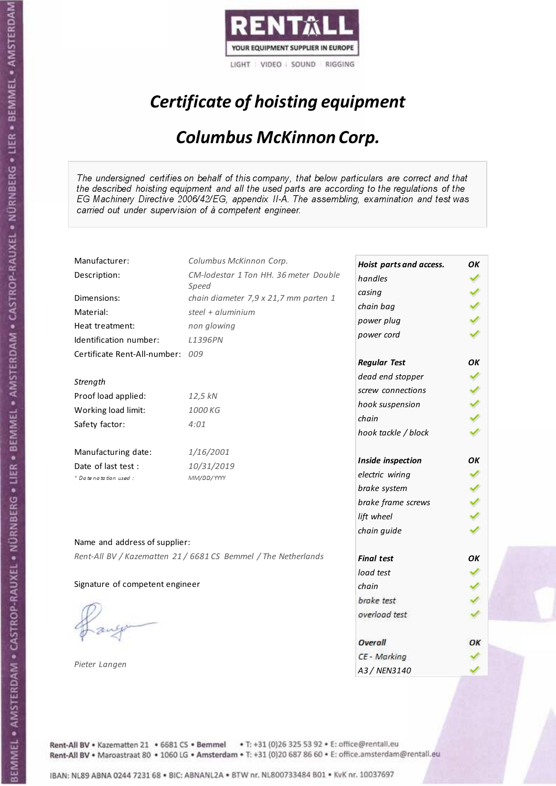

# Certificate of hoisting equipment

### Columbus McKinnon Corp.

The undersigned certifies on behalf of this company, that below particulars are correct and that the described hoisting equipment and all the used parts are according to the regulations of the EG Machinery Directive 2006/42/EG, appendix II-A. The assembling, examination and test was carried out under supervision of à competent engineer.

| Manufacturer:                    | Columbus McKinnon Corp.                                        | Hoist parts and access. | OK |
|----------------------------------|----------------------------------------------------------------|-------------------------|----|
| Description:                     | CM-lodestar 1 Ton HH. 36 meter Double                          | handles                 |    |
| Dimensions:                      | Speed<br>chain diameter 7,9 x 21,7 mm parten 1                 | casing                  |    |
| Material:                        | steel + $aluminim$                                             | chain bag               |    |
|                                  |                                                                | power plug              |    |
| Heat treatment:                  | non glowing                                                    | power cord              |    |
| Identification number:           | L1396PN                                                        |                         |    |
| Certificate Rent-All-number: 009 |                                                                | <b>Regular Test</b>     | OК |
|                                  |                                                                | dead end stopper        |    |
| Strength                         |                                                                | screw connections       |    |
| Proof load applied:              | 12,5 kN                                                        | hook suspension         |    |
| Working load limit:              | 1000 KG                                                        | chain                   |    |
| Safety factor:                   | 4:01                                                           | hook tackle / block     |    |
| Manufacturing date:              | 1/16/2001                                                      |                         |    |
| Date of last test :              | 10/31/2019                                                     | Inside inspection       | OK |
| * Date notation used:            | MM/DD/YYYY                                                     | electric wiring         |    |
|                                  |                                                                | brake system            |    |
|                                  |                                                                | brake frame screws      |    |
|                                  |                                                                | lift wheel              |    |
|                                  |                                                                | chain guide             |    |
| Name and address of supplier:    |                                                                |                         |    |
|                                  | Rent-All BV / Kazematten 21 / 6681 CS Bemmel / The Netherlands | <b>Final test</b>       | OK |
|                                  |                                                                | load test               |    |
| Signature of competent engineer  |                                                                | chain                   |    |
|                                  |                                                                | brake test              |    |
|                                  |                                                                | overload test           |    |
|                                  |                                                                |                         |    |
|                                  |                                                                | Overall                 | ОΚ |
| Pieter Langen                    |                                                                | CE - Marking            |    |
|                                  |                                                                | A3 / NEN3140            |    |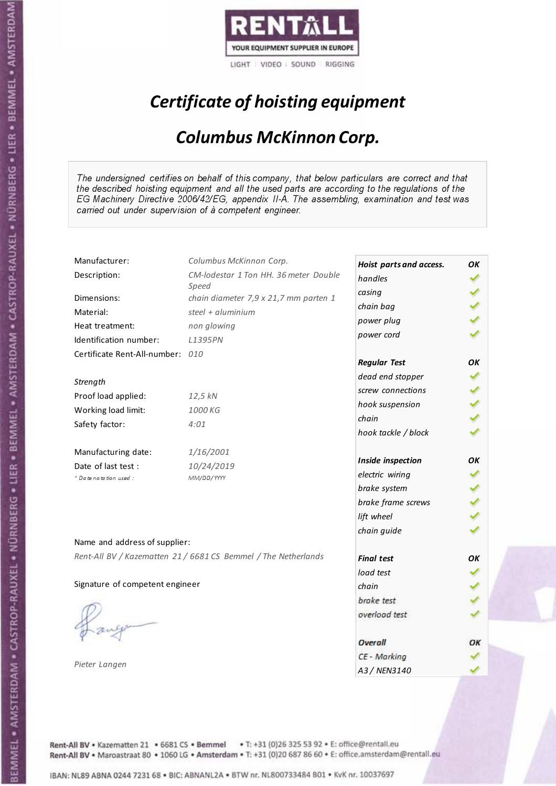

# Certificate of hoisting equipment

### Columbus McKinnon Corp.

The undersigned certifies on behalf of this company, that below particulars are correct and that the described hoisting equipment and all the used parts are according to the regulations of the EG Machinery Directive 2006/42/EG, appendix II-A. The assembling, examination and test was carried out under supervision of à competent engineer.

| Manufacturer:                    | Columbus McKinnon Corp.                                        | Hoist parts and access. | OK |
|----------------------------------|----------------------------------------------------------------|-------------------------|----|
| Description:                     | CM-lodestar 1 Ton HH. 36 meter Double                          | handles                 |    |
|                                  | Speed                                                          | casing                  |    |
| Dimensions:                      | chain diameter 7,9 x 21,7 mm parten 1                          | chain bag               |    |
| Material:                        | steel + $aluminim$                                             | power plug              |    |
| Heat treatment:                  | non glowing                                                    | power cord              |    |
| Identification number:           | L1395PN                                                        |                         |    |
| Certificate Rent-All-number: 010 |                                                                | <b>Regular Test</b>     | ОΚ |
|                                  |                                                                | dead end stopper        |    |
| Strength                         |                                                                | screw connections       |    |
| Proof load applied:              | 12,5 kN                                                        | hook suspension         |    |
| Working load limit:              | 1000 KG                                                        | chain                   |    |
| Safety factor:                   | 4:01                                                           |                         |    |
|                                  |                                                                | hook tackle / block     |    |
| Manufacturing date:              | 1/16/2001                                                      |                         |    |
| Date of last test :              | 10/24/2019                                                     | Inside inspection       | OK |
| * Date notation used:            | MM/DD/YYYY                                                     | electric wiring         |    |
|                                  |                                                                | brake system            |    |
|                                  |                                                                | brake frame screws      |    |
|                                  |                                                                | lift wheel              |    |
|                                  |                                                                | chain guide             |    |
| Name and address of supplier:    |                                                                |                         |    |
|                                  | Rent-All BV / Kazematten 21 / 6681 CS Bemmel / The Netherlands | <b>Final test</b>       | OК |
|                                  |                                                                | load test               |    |
| Signature of competent engineer  |                                                                | chain                   |    |
|                                  |                                                                | brake test              |    |
|                                  |                                                                | overload test           |    |
|                                  |                                                                |                         |    |
|                                  |                                                                | Overall                 | ОΚ |
|                                  |                                                                | CE - Marking            |    |
| Pieter Langen                    |                                                                | A3 / NEN3140            |    |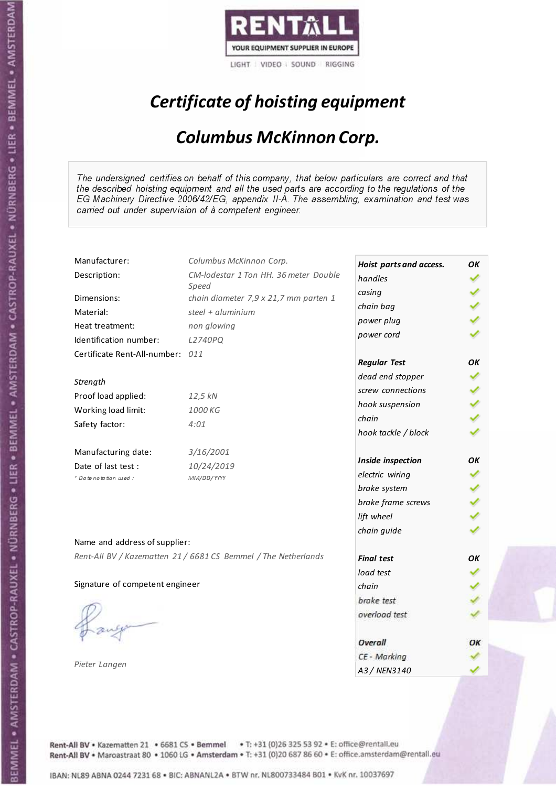

# Certificate of hoisting equipment

### Columbus McKinnon Corp.

The undersigned certifies on behalf of this company, that below particulars are correct and that the described hoisting equipment and all the used parts are according to the regulations of the EG Machinery Directive 2006/42/EG, appendix II-A. The assembling, examination and test was carried out under supervision of à competent engineer.

| Manufacturer:                    | Columbus McKinnon Corp.                                        | Hoist parts and access. | OK |
|----------------------------------|----------------------------------------------------------------|-------------------------|----|
| Description:                     | CM-lodestar 1 Ton HH. 36 meter Double                          | handles                 |    |
|                                  | Speed                                                          | casing                  |    |
| Dimensions:                      | chain diameter 7,9 x 21,7 mm parten 1                          | chain bag               |    |
| Material:                        | steel + $aluminim$                                             | power plug              |    |
| Heat treatment:                  | non glowing                                                    | power cord              |    |
| Identification number:           | L2740PQ                                                        |                         |    |
| Certificate Rent-All-number: 011 |                                                                | <b>Regular Test</b>     | ОΚ |
|                                  |                                                                | dead end stopper        |    |
| Strength                         |                                                                | screw connections       |    |
| Proof load applied:              | 12,5 kN                                                        |                         |    |
| Working load limit:              | 1000 KG                                                        | hook suspension         |    |
| Safety factor:                   | 4:01                                                           | chain                   |    |
|                                  |                                                                | hook tackle / block     |    |
| Manufacturing date:              | 3/16/2001                                                      |                         |    |
| Date of last test :              | 10/24/2019                                                     | Inside inspection       | OK |
| * Date notation used:            | MM/DD/YYYY                                                     | electric wiring         |    |
|                                  |                                                                | brake system            |    |
|                                  |                                                                | brake frame screws      |    |
|                                  |                                                                | lift wheel              |    |
|                                  |                                                                | chain guide             |    |
| Name and address of supplier:    |                                                                |                         |    |
|                                  | Rent-All BV / Kazematten 21 / 6681 CS Bemmel / The Netherlands | <b>Final test</b>       | OК |
|                                  |                                                                | load test               |    |
| Signature of competent engineer  |                                                                | chain                   |    |
|                                  |                                                                | brake test              |    |
|                                  |                                                                | overload test           |    |
|                                  |                                                                |                         |    |
|                                  |                                                                | Overall                 | ОΚ |
|                                  |                                                                | CE - Marking            |    |
| Pieter Langen                    |                                                                | A3 / NEN3140            |    |

Rent-All BV . Kazematten 21 . 6681 CS . Bemmel . T: +31 (0)26 325 53 92 . E: office@rentall.eu Rent-All BV · Maroastraat 80 · 1060 LG · Amsterdam · T: +31 (0)20 687 86 60 · E: office.amsterdam@rentall.eu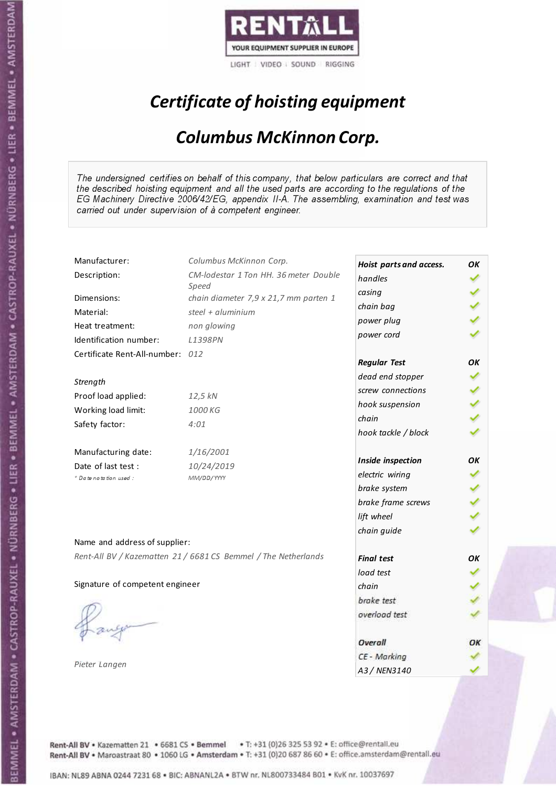

# Certificate of hoisting equipment

### Columbus McKinnon Corp.

The undersigned certifies on behalf of this company, that below particulars are correct and that the described hoisting equipment and all the used parts are according to the regulations of the EG Machinery Directive 2006/42/EG, appendix II-A. The assembling, examination and test was carried out under supervision of à competent engineer.

| Manufacturer:                    | Columbus McKinnon Corp.                                        | Hoist parts and access. | OK |
|----------------------------------|----------------------------------------------------------------|-------------------------|----|
| Description:                     | CM-lodestar 1 Ton HH. 36 meter Double                          | handles                 |    |
| Dimensions:                      | Speed<br>chain diameter 7,9 x 21,7 mm parten 1                 | casing                  |    |
|                                  | steel + $aluminim$                                             | chain bag               |    |
| Material:                        |                                                                | power plug              |    |
| Heat treatment:                  | non glowing                                                    | power cord              |    |
| Identification number:           | L1398PN                                                        |                         |    |
| Certificate Rent-All-number: 012 |                                                                | <b>Regular Test</b>     | OК |
|                                  |                                                                | dead end stopper        |    |
| Strength                         |                                                                | screw connections       |    |
| Proof load applied:              | 12,5 kN                                                        | hook suspension         |    |
| Working load limit:              | 1000 KG                                                        | chain                   |    |
| Safety factor:                   | 4:01                                                           | hook tackle / block     |    |
| Manufacturing date:              | 1/16/2001                                                      |                         |    |
| Date of last test :              | 10/24/2019                                                     | Inside inspection       | OК |
| * Date notation used :           | MM/DD/YYYY                                                     | electric wiring         |    |
|                                  |                                                                | brake system            |    |
|                                  |                                                                | brake frame screws      |    |
|                                  |                                                                | lift wheel              |    |
|                                  |                                                                | chain guide             |    |
| Name and address of supplier:    |                                                                |                         |    |
|                                  | Rent-All BV / Kazematten 21 / 6681 CS Bemmel / The Netherlands | <b>Final test</b>       | OK |
|                                  |                                                                | load test               |    |
| Signature of competent engineer  |                                                                | chain                   |    |
|                                  |                                                                | brake test              |    |
|                                  |                                                                | overload test           |    |
|                                  |                                                                |                         |    |
|                                  |                                                                | Overall                 | ОΚ |
|                                  |                                                                | CE - Marking            |    |
| Pieter Langen                    |                                                                | A3 / NEN3140            |    |

Rent-All BV . Kazematten 21 . 6681 CS . Bemmel . T: +31 (0)26 325 53 92 . E: office@rentall.eu Rent-All BV · Maroastraat 80 · 1060 LG · Amsterdam · T: +31 (0)20 687 86 60 · E: office.amsterdam@rentall.eu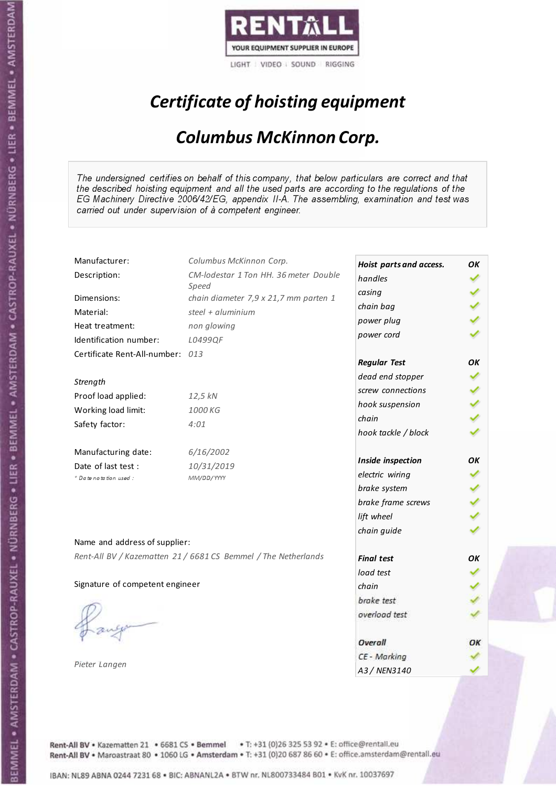

# Certificate of hoisting equipment

### Columbus McKinnon Corp.

The undersigned certifies on behalf of this company, that below particulars are correct and that the described hoisting equipment and all the used parts are according to the regulations of the EG Machinery Directive 2006/42/EG, appendix II-A. The assembling, examination and test was carried out under supervision of à competent engineer.

| Manufacturer:                    | Columbus McKinnon Corp.                                        | Hoist parts and access. | OК |
|----------------------------------|----------------------------------------------------------------|-------------------------|----|
| Description:                     | CM-lodestar 1 Ton HH. 36 meter Double                          | handles                 |    |
|                                  | Speed                                                          | casing                  |    |
| Dimensions:                      | chain diameter 7,9 x 21,7 mm parten 1                          | chain bag               |    |
| Material:                        | steel + $aluminim$                                             | power plug              |    |
| Heat treatment:                  | non glowing                                                    | power cord              |    |
| Identification number:           | L0499QF                                                        |                         |    |
| Certificate Rent-All-number: 013 |                                                                | <b>Regular Test</b>     | OК |
| Strength                         |                                                                | dead end stopper        |    |
| Proof load applied:              | 12,5 kN                                                        | screw connections       |    |
| Working load limit:              | 1000 KG                                                        | hook suspension         |    |
|                                  |                                                                | chain                   |    |
| Safety factor:                   | 4:01                                                           | hook tackle / block     |    |
| Manufacturing date:              | 6/16/2002                                                      |                         |    |
| Date of last test :              | 10/31/2019                                                     | Inside inspection       | OK |
| + Date notation used :           | MM/DD/YYYY                                                     | electric wiring         |    |
|                                  |                                                                | brake system            |    |
|                                  |                                                                | brake frame screws      |    |
|                                  |                                                                | lift wheel              |    |
| Name and address of supplier:    |                                                                | chain guide             |    |
|                                  | Rent-All BV / Kazematten 21 / 6681 CS Bemmel / The Netherlands |                         |    |
|                                  |                                                                | <b>Final test</b>       | OK |
|                                  |                                                                | load test               |    |
| Signature of competent engineer  |                                                                | chain                   |    |
|                                  |                                                                | brake test              |    |
|                                  |                                                                | overload test           |    |
|                                  |                                                                | Overall                 | ОΚ |
|                                  |                                                                | CE - Marking            |    |
| Pieter Langen                    |                                                                | A3 / NEN3140            |    |

Rent-All BV . Kazematten 21 . 6681 CS . Bemmel . T: +31 (0)26 325 53 92 . E: office@rentall.eu Rent-All BV · Maroastraat 80 · 1060 LG · Amsterdam · T: +31 (0)20 687 86 60 · E: office.amsterdam@rentall.eu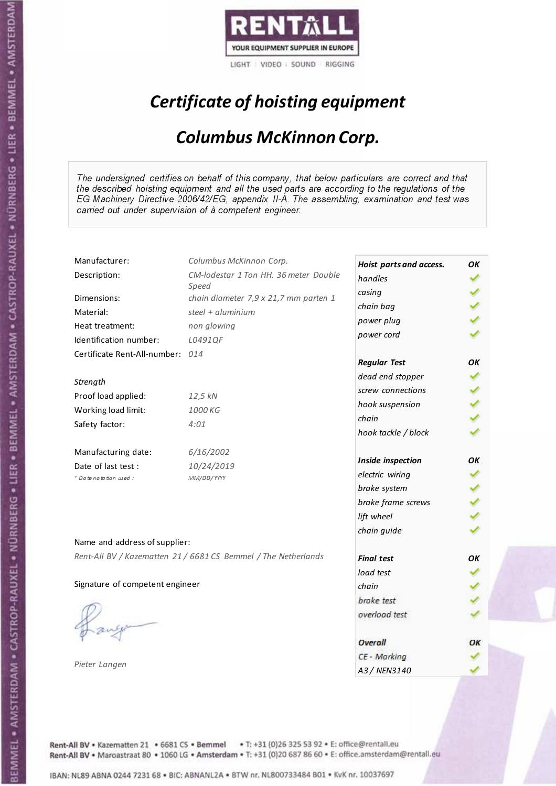

# Certificate of hoisting equipment

### Columbus McKinnon Corp.

The undersigned certifies on behalf of this company, that below particulars are correct and that the described hoisting equipment and all the used parts are according to the regulations of the EG Machinery Directive 2006/42/EG, appendix II-A. The assembling, examination and test was carried out under supervision of à competent engineer.

| Manufacturer:                    | Columbus McKinnon Corp.                                        | Hoist parts and access. | OК |
|----------------------------------|----------------------------------------------------------------|-------------------------|----|
| Description:                     | CM-lodestar 1 Ton HH. 36 meter Double                          | handles                 |    |
|                                  | Speed                                                          | casing                  |    |
| Dimensions:                      | chain diameter 7,9 x 21,7 mm parten 1                          | chain bag               |    |
| Material:                        | steel + $aluminim$                                             | power plug              |    |
| Heat treatment:                  | non glowing                                                    | power cord              |    |
| Identification number:           | L0491QF                                                        |                         |    |
| Certificate Rent-All-number: 014 |                                                                | <b>Regular Test</b>     | OК |
| Strength                         |                                                                | dead end stopper        |    |
| Proof load applied:              | 12,5 kN                                                        | screw connections       |    |
| Working load limit:              | 1000 KG                                                        | hook suspension         |    |
|                                  |                                                                | chain                   |    |
| Safety factor:                   | 4:01                                                           | hook tackle / block     |    |
| Manufacturing date:              | 6/16/2002                                                      |                         | OK |
| Date of last test :              | 10/24/2019                                                     | Inside inspection       |    |
| + Date notation used :           | MM/DD/YYYY                                                     | electric wiring         |    |
|                                  |                                                                | brake system            |    |
|                                  |                                                                | brake frame screws      |    |
|                                  |                                                                | lift wheel              |    |
| Name and address of supplier:    |                                                                | chain guide             |    |
|                                  | Rent-All BV / Kazematten 21 / 6681 CS Bemmel / The Netherlands | <b>Final test</b>       | OK |
|                                  |                                                                | load test               |    |
| Signature of competent engineer  |                                                                | chain                   |    |
|                                  |                                                                | brake test              |    |
|                                  |                                                                |                         |    |
|                                  |                                                                | overload test           |    |
|                                  |                                                                | Overall                 | ОΚ |
|                                  |                                                                | CE - Marking            |    |
| Pieter Langen                    |                                                                | A3 / NEN3140            |    |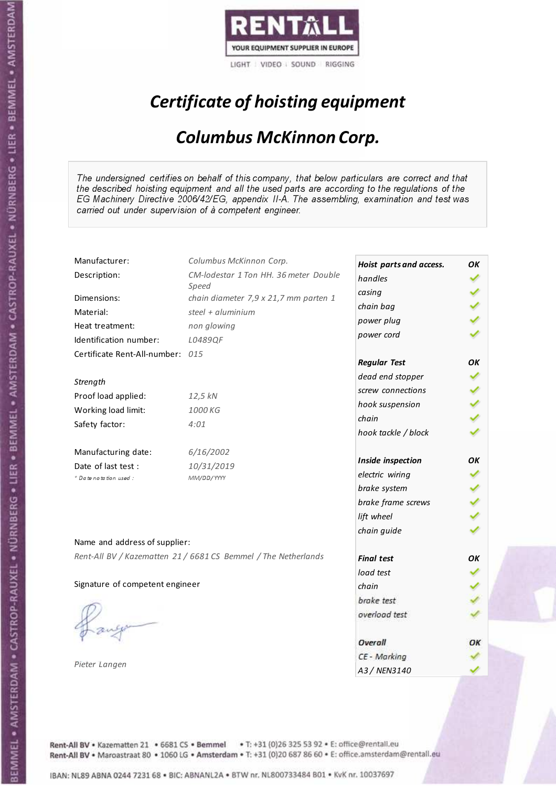

# Certificate of hoisting equipment

### Columbus McKinnon Corp.

The undersigned certifies on behalf of this company, that below particulars are correct and that the described hoisting equipment and all the used parts are according to the regulations of the EG Machinery Directive 2006/42/EG, appendix II-A. The assembling, examination and test was carried out under supervision of à competent engineer.

| Manufacturer:                    | Columbus McKinnon Corp.                                        | Hoist parts and access. | OK |
|----------------------------------|----------------------------------------------------------------|-------------------------|----|
| Description:                     | CM-lodestar 1 Ton HH. 36 meter Double                          | handles                 |    |
|                                  | Speed                                                          | casing                  |    |
| Dimensions:                      | chain diameter 7,9 x 21,7 mm parten 1                          | chain bag               |    |
| Material:                        | steel + $aluminim$                                             | power plug              |    |
| Heat treatment:                  | non glowing                                                    | power cord              |    |
| Identification number:           | L0489QF                                                        |                         |    |
| Certificate Rent-All-number: 015 |                                                                | <b>Regular Test</b>     | OК |
| Strength                         |                                                                | dead end stopper        |    |
| Proof load applied:              | 12,5 kN                                                        | screw connections       |    |
| Working load limit:              | 1000 KG                                                        | hook suspension         |    |
|                                  |                                                                | chain                   |    |
| Safety factor:                   | 4:01                                                           | hook tackle / block     |    |
| Manufacturing date:              | 6/16/2002                                                      |                         |    |
| Date of last test :              | 10/31/2019                                                     | Inside inspection       | OK |
| + Date notation used :           | MM/DD/YYYY                                                     | electric wiring         |    |
|                                  |                                                                | brake system            |    |
|                                  |                                                                | brake frame screws      |    |
|                                  |                                                                | lift wheel              |    |
| Name and address of supplier:    |                                                                | chain guide             |    |
|                                  | Rent-All BV / Kazematten 21 / 6681 CS Bemmel / The Netherlands |                         |    |
|                                  |                                                                | <b>Final test</b>       | OK |
|                                  |                                                                | load test               |    |
| Signature of competent engineer  |                                                                | chain                   |    |
|                                  |                                                                | brake test              |    |
|                                  |                                                                | overload test           |    |
|                                  |                                                                | Overall                 | ОΚ |
|                                  |                                                                | CE - Marking            |    |
| Pieter Langen                    |                                                                | A3 / NEN3140            |    |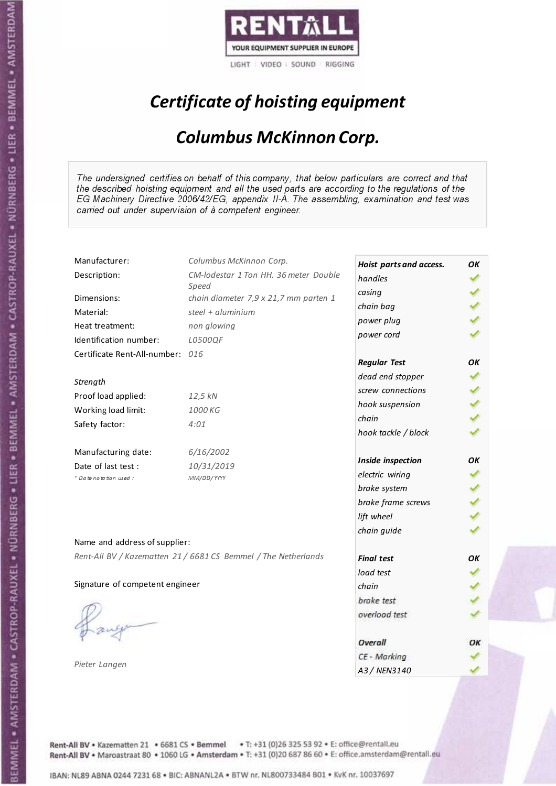

# Certificate of hoisting equipment

### Columbus McKinnon Corp.

The undersigned certifies on behalf of this company, that below particulars are correct and that the described hoisting equipment and all the used parts are according to the regulations of the EG Machinery Directive 2006/42/EG, appendix II-A. The assembling, examination and test was carried out under supervision of à competent engineer.

| Manufacturer:                    | Columbus McKinnon Corp.                                        | Hoist parts and access. | OK |
|----------------------------------|----------------------------------------------------------------|-------------------------|----|
| Description:                     | CM-lodestar 1 Ton HH. 36 meter Double                          | handles                 |    |
|                                  | Speed                                                          | casing                  |    |
| Dimensions:                      | chain diameter 7,9 x 21,7 mm parten 1                          | chain bag               |    |
| Material:                        | steel + $aluminim$                                             | power plug              |    |
| Heat treatment:                  | non glowing                                                    | power cord              |    |
| Identification number:           | L0500QF                                                        |                         |    |
| Certificate Rent-All-number: 016 |                                                                | <b>Regular Test</b>     | OК |
| Strength                         |                                                                | dead end stopper        |    |
| Proof load applied:              | 12,5 kN                                                        | screw connections       |    |
| Working load limit:              | 1000 KG                                                        | hook suspension         |    |
|                                  |                                                                | chain                   |    |
| Safety factor:                   | 4:01                                                           | hook tackle / block     |    |
| Manufacturing date:              | 6/16/2002                                                      |                         |    |
| Date of last test :              | 10/31/2019                                                     | Inside inspection       | OК |
| + Date notation used :           | MM/DD/YYYY                                                     | electric wiring         |    |
|                                  |                                                                | brake system            |    |
|                                  |                                                                | brake frame screws      |    |
|                                  |                                                                | lift wheel              |    |
| Name and address of supplier:    |                                                                | chain guide             |    |
|                                  | Rent-All BV / Kazematten 21 / 6681 CS Bemmel / The Netherlands |                         |    |
|                                  |                                                                | <b>Final test</b>       | OK |
|                                  |                                                                | load test               |    |
| Signature of competent engineer  |                                                                | chain                   |    |
|                                  |                                                                | brake test              |    |
|                                  |                                                                | overload test           |    |
|                                  |                                                                | Overall                 | ОΚ |
|                                  |                                                                | CE - Marking            |    |
| Pieter Langen                    |                                                                | A3 / NEN3140            |    |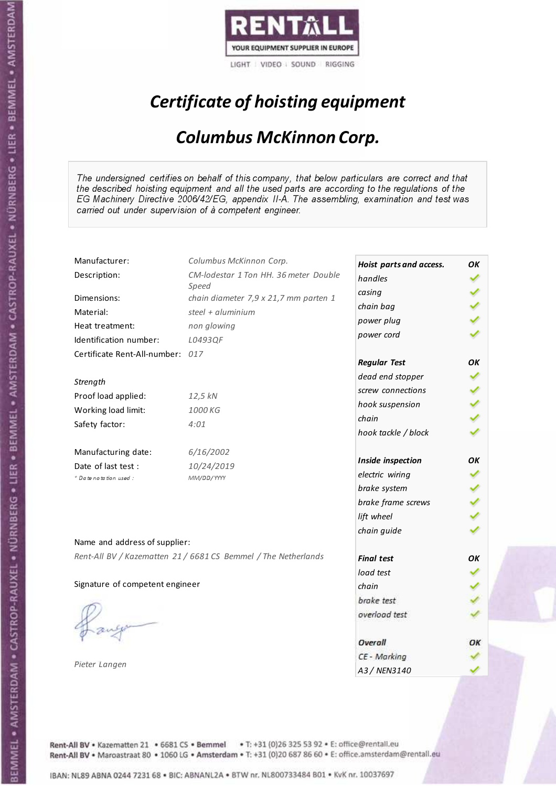

# Certificate of hoisting equipment

### Columbus McKinnon Corp.

The undersigned certifies on behalf of this company, that below particulars are correct and that the described hoisting equipment and all the used parts are according to the regulations of the EG Machinery Directive 2006/42/EG, appendix II-A. The assembling, examination and test was carried out under supervision of à competent engineer.

| Manufacturer:                    | Columbus McKinnon Corp.                                        | Hoist parts and access. | OК |
|----------------------------------|----------------------------------------------------------------|-------------------------|----|
| Description:                     | CM-lodestar 1 Ton HH. 36 meter Double                          | handles                 |    |
|                                  | Speed                                                          | casing                  |    |
| Dimensions:                      | chain diameter 7,9 x 21,7 mm parten 1                          | chain bag               |    |
| Material:                        | steel + $aluminim$                                             | power plug              |    |
| Heat treatment:                  | non glowing                                                    | power cord              |    |
| Identification number:           | L0493QF                                                        |                         |    |
| Certificate Rent-All-number: 017 |                                                                | <b>Regular Test</b>     | OК |
| Strength                         |                                                                | dead end stopper        |    |
| Proof load applied:              | 12,5 kN                                                        | screw connections       |    |
| Working load limit:              | 1000 KG                                                        | hook suspension         |    |
|                                  |                                                                | chain                   |    |
| Safety factor:                   | 4:01                                                           | hook tackle / block     |    |
| Manufacturing date:              | 6/16/2002                                                      |                         | OK |
| Date of last test :              | 10/24/2019                                                     | Inside inspection       |    |
| + Date notation used :           | MM/DD/YYYY                                                     | electric wiring         |    |
|                                  |                                                                | brake system            |    |
|                                  |                                                                | brake frame screws      |    |
|                                  |                                                                | lift wheel              |    |
| Name and address of supplier:    |                                                                | chain guide             |    |
|                                  | Rent-All BV / Kazematten 21 / 6681 CS Bemmel / The Netherlands | <b>Final test</b>       | OK |
|                                  |                                                                | load test               |    |
| Signature of competent engineer  |                                                                | chain                   |    |
|                                  |                                                                |                         |    |
|                                  |                                                                | brake test              |    |
|                                  |                                                                | overload test           |    |
|                                  |                                                                | Overall                 | ОΚ |
|                                  |                                                                | CE - Marking            |    |
| Pieter Langen                    |                                                                | A3 / NEN3140            |    |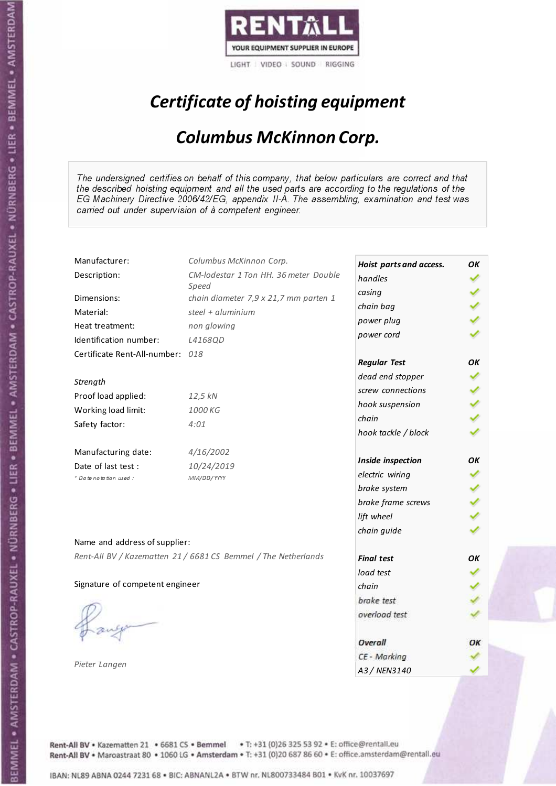

# Certificate of hoisting equipment

### Columbus McKinnon Corp.

The undersigned certifies on behalf of this company, that below particulars are correct and that the described hoisting equipment and all the used parts are according to the regulations of the EG Machinery Directive 2006/42/EG, appendix II-A. The assembling, examination and test was carried out under supervision of à competent engineer.

| Manufacturer:                    | Columbus McKinnon Corp.                                        | Hoist parts and access. | OK |
|----------------------------------|----------------------------------------------------------------|-------------------------|----|
| Description:                     | CM-lodestar 1 Ton HH. 36 meter Double                          | handles                 |    |
| Dimensions:                      | Speed<br>chain diameter 7,9 x 21,7 mm parten 1                 | casing                  |    |
|                                  | steel + $aluminim$                                             | chain bag               |    |
| Material:                        |                                                                | power plug              |    |
| Heat treatment:                  | non glowing                                                    | power cord              |    |
| Identification number:           | L4168QD                                                        |                         |    |
| Certificate Rent-All-number: 018 |                                                                | <b>Regular Test</b>     | OК |
|                                  |                                                                | dead end stopper        |    |
| Strength                         |                                                                | screw connections       |    |
| Proof load applied:              | 12,5 kN                                                        | hook suspension         |    |
| Working load limit:              | 1000 KG                                                        | chain                   |    |
| Safety factor:                   | 4:01                                                           | hook tackle / block     |    |
| Manufacturing date:              | 4/16/2002                                                      |                         |    |
| Date of last test :              | 10/24/2019                                                     | Inside inspection       | OK |
| * Date notation used:            | MM/DD/YYYY                                                     | electric wiring         |    |
|                                  |                                                                | brake system            |    |
|                                  |                                                                | brake frame screws      |    |
|                                  |                                                                | lift wheel              |    |
|                                  |                                                                | chain guide             |    |
| Name and address of supplier:    |                                                                |                         |    |
|                                  | Rent-All BV / Kazematten 21 / 6681 CS Bemmel / The Netherlands | <b>Final test</b>       | OK |
|                                  |                                                                | load test               |    |
| Signature of competent engineer  |                                                                | chain                   |    |
|                                  |                                                                | brake test              |    |
|                                  |                                                                | overload test           |    |
|                                  |                                                                |                         |    |
|                                  |                                                                | Overall                 | ОΚ |
|                                  |                                                                | CE - Marking            |    |
| Pieter Langen                    |                                                                | A3 / NEN3140            |    |

Rent-All BV . Kazematten 21 . 6681 CS . Bemmel . T: +31 (0)26 325 53 92 . E: office@rentall.eu Rent-All BV · Maroastraat 80 · 1060 LG · Amsterdam · T: +31 (0)20 687 86 60 · E: office.amsterdam@rentall.eu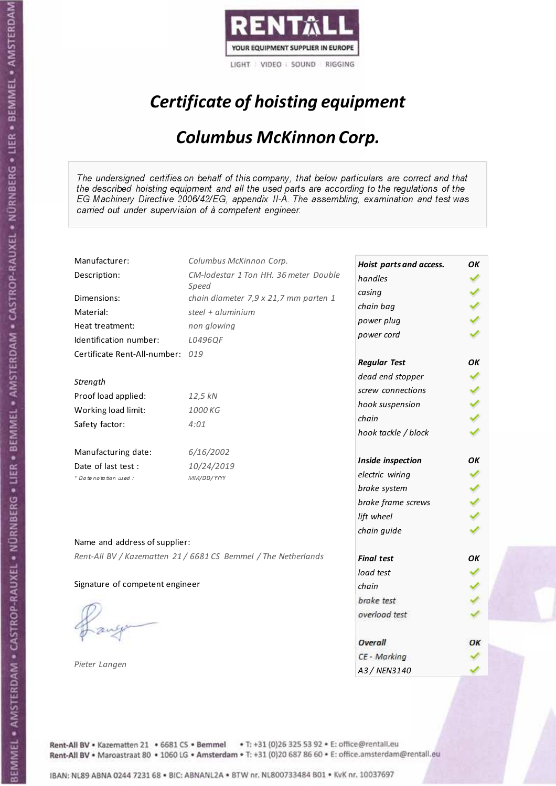

# Certificate of hoisting equipment

### Columbus McKinnon Corp.

The undersigned certifies on behalf of this company, that below particulars are correct and that the described hoisting equipment and all the used parts are according to the regulations of the EG Machinery Directive 2006/42/EG, appendix II-A. The assembling, examination and test was carried out under supervision of à competent engineer.

| Manufacturer:                    | Columbus McKinnon Corp.                                        | Hoist parts and access. | OK |
|----------------------------------|----------------------------------------------------------------|-------------------------|----|
| Description:                     | CM-lodestar 1 Ton HH. 36 meter Double                          | handles                 |    |
| Dimensions:                      | Speed                                                          | casing                  |    |
|                                  | chain diameter 7,9 x 21,7 mm parten 1<br>steel + $aluminim$    | chain bag               |    |
| Material:                        |                                                                | power plug              |    |
| Heat treatment:                  | non glowing                                                    | power cord              |    |
| Identification number:           | L0496QF                                                        |                         |    |
| Certificate Rent-All-number: 019 |                                                                | <b>Regular Test</b>     | OК |
|                                  |                                                                | dead end stopper        |    |
| Strength                         |                                                                | screw connections       |    |
| Proof load applied:              | 12,5 kN                                                        | hook suspension         |    |
| Working load limit:              | 1000 KG                                                        | chain                   |    |
| Safety factor:                   | 4:01                                                           | hook tackle / block     |    |
| Manufacturing date:              | 6/16/2002                                                      |                         |    |
| Date of last test :              | 10/24/2019                                                     | Inside inspection       | OK |
| * Date notation used:            | MM/DD/YYYY                                                     | electric wiring         |    |
|                                  |                                                                | brake system            |    |
|                                  |                                                                | brake frame screws      |    |
|                                  |                                                                | lift wheel              |    |
|                                  |                                                                | chain guide             |    |
| Name and address of supplier:    |                                                                |                         |    |
|                                  | Rent-All BV / Kazematten 21 / 6681 CS Bemmel / The Netherlands | <b>Final test</b>       | OK |
|                                  |                                                                | load test               |    |
| Signature of competent engineer  |                                                                | chain                   |    |
|                                  |                                                                | brake test              |    |
|                                  |                                                                | overload test           |    |
|                                  |                                                                |                         |    |
|                                  |                                                                | Overall                 | ОΚ |
|                                  |                                                                | CE - Marking            |    |
| Pieter Langen                    |                                                                | A3 / NEN3140            |    |

Rent-All BV . Kazematten 21 . 6681 CS . Bemmel . T: +31 (0)26 325 53 92 . E: office@rentall.eu Rent-All BV · Maroastraat 80 · 1060 LG · Amsterdam · T: +31 (0)20 687 86 60 · E: office.amsterdam@rentall.eu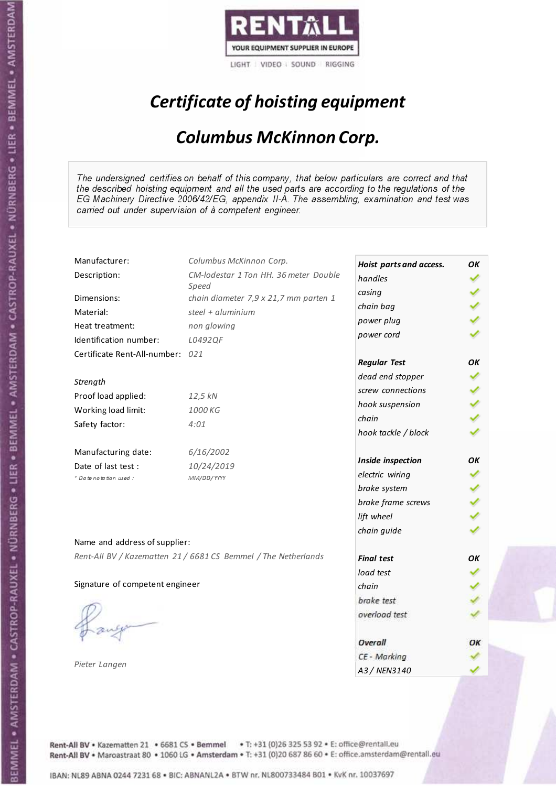

# Certificate of hoisting equipment

### Columbus McKinnon Corp.

The undersigned certifies on behalf of this company, that below particulars are correct and that the described hoisting equipment and all the used parts are according to the regulations of the EG Machinery Directive 2006/42/EG, appendix II-A. The assembling, examination and test was carried out under supervision of à competent engineer.

| Manufacturer:                    | Columbus McKinnon Corp.                                        | Hoist parts and access. | OK |
|----------------------------------|----------------------------------------------------------------|-------------------------|----|
| Description:                     | CM-lodestar 1 Ton HH. 36 meter Double                          | handles                 |    |
|                                  | Speed                                                          | casing                  |    |
| Dimensions:                      | chain diameter 7,9 x 21,7 mm parten 1                          | chain bag               |    |
| Material:                        | steel + $aluminim$                                             | power plug              |    |
| Heat treatment:                  | non glowing                                                    | power cord              |    |
| Identification number:           | L0492QF                                                        |                         |    |
| Certificate Rent-All-number: 021 |                                                                | <b>Regular Test</b>     | OK |
| Strength                         |                                                                | dead end stopper        |    |
| Proof load applied:              | 12,5 kN                                                        | screw connections       |    |
|                                  |                                                                | hook suspension         |    |
| Working load limit:              | 1000 KG                                                        | chain                   |    |
| Safety factor:                   | 4:01                                                           | hook tackle / block     |    |
| Manufacturing date:              | 6/16/2002                                                      |                         |    |
| Date of last test :              | 10/24/2019                                                     | Inside inspection       | OК |
| * Date notation used :           | MM/DD/YYYY                                                     | electric wiring         |    |
|                                  |                                                                | brake system            |    |
|                                  |                                                                | brake frame screws      |    |
|                                  |                                                                | lift wheel              |    |
| Name and address of supplier:    |                                                                | chain guide             |    |
|                                  |                                                                |                         |    |
|                                  | Rent-All BV / Kazematten 21 / 6681 CS Bemmel / The Netherlands | <b>Final test</b>       | OK |
|                                  |                                                                | load test               |    |
| Signature of competent engineer  |                                                                | chain                   |    |
|                                  |                                                                | brake test              |    |
|                                  |                                                                | overload test           |    |
|                                  |                                                                |                         |    |
|                                  |                                                                | Overall                 | ОΚ |
| Pieter Langen                    |                                                                | CE - Marking            |    |
|                                  |                                                                | A3 / NEN3140            |    |

Rent-All BV . Kazematten 21 . 6681 CS . Bemmel . T: +31 (0)26 325 53 92 . E: office@rentall.eu Rent-All BV · Maroastraat 80 · 1060 LG · Amsterdam · T: +31 (0)20 687 86 60 · E: office.amsterdam@rentall.eu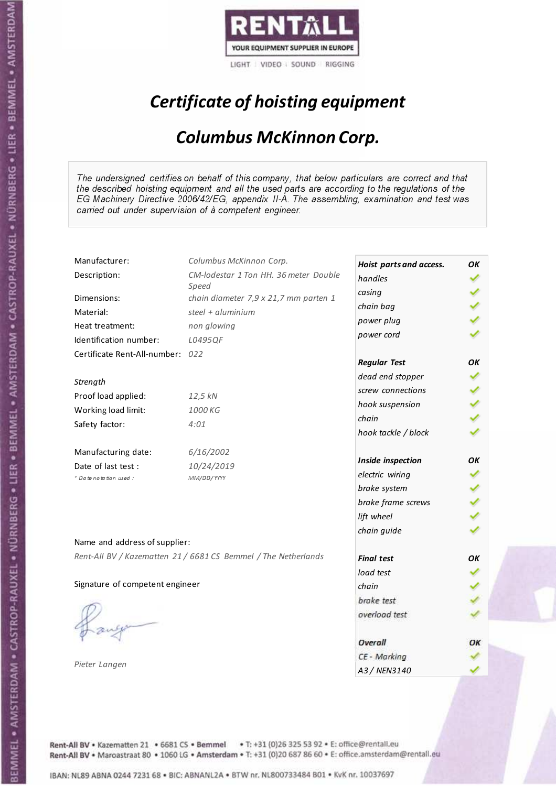

# Certificate of hoisting equipment

### Columbus McKinnon Corp.

The undersigned certifies on behalf of this company, that below particulars are correct and that the described hoisting equipment and all the used parts are according to the regulations of the EG Machinery Directive 2006/42/EG, appendix II-A. The assembling, examination and test was carried out under supervision of à competent engineer.

| Manufacturer:                    | Columbus McKinnon Corp.                                        | Hoist parts and access. | OK |
|----------------------------------|----------------------------------------------------------------|-------------------------|----|
| Description:                     | CM-lodestar 1 Ton HH. 36 meter Double                          | handles                 |    |
|                                  | Speed                                                          | casing                  |    |
| Dimensions:                      | chain diameter 7,9 x 21,7 mm parten 1                          | chain bag               |    |
| Material:                        | steel + $aluminim$                                             | power plug              |    |
| Heat treatment:                  | non glowing                                                    | power cord              |    |
| Identification number:           | L0495QF                                                        |                         |    |
| Certificate Rent-All-number: 022 |                                                                | <b>Regular Test</b>     | OK |
| Strength                         |                                                                | dead end stopper        |    |
| Proof load applied:              | 12,5 kN                                                        | screw connections       |    |
| Working load limit:              | 1000 KG                                                        | hook suspension         |    |
|                                  |                                                                | chain                   |    |
| Safety factor:                   | 4:01                                                           | hook tackle / block     |    |
| Manufacturing date:              | 6/16/2002                                                      |                         |    |
| Date of last test:               | 10/24/2019                                                     | Inside inspection       | OK |
| * Date notation used :           | MM/DD/YYYY                                                     | electric wiring         |    |
|                                  |                                                                | brake system            |    |
|                                  |                                                                | brake frame screws      |    |
|                                  |                                                                | lift wheel              |    |
| Name and address of supplier:    |                                                                | chain guide             |    |
|                                  |                                                                |                         |    |
|                                  | Rent-All BV / Kazematten 21 / 6681 CS Bemmel / The Netherlands | <b>Final test</b>       | OK |
|                                  |                                                                | load test               |    |
| Signature of competent engineer  |                                                                | chain                   |    |
|                                  |                                                                | brake test              |    |
|                                  |                                                                | overload test           |    |
|                                  |                                                                | Overall                 | ОΚ |
|                                  |                                                                | CE - Marking            |    |
| Pieter Langen                    |                                                                | A3 / NEN3140            |    |

Rent-All BV . Kazematten 21 . 6681 CS . Bemmel . T: +31 (0)26 325 53 92 . E: office@rentall.eu Rent-All BV · Maroastraat 80 · 1060 LG · Amsterdam · T: +31 (0)20 687 86 60 · E: office.amsterdam@rentall.eu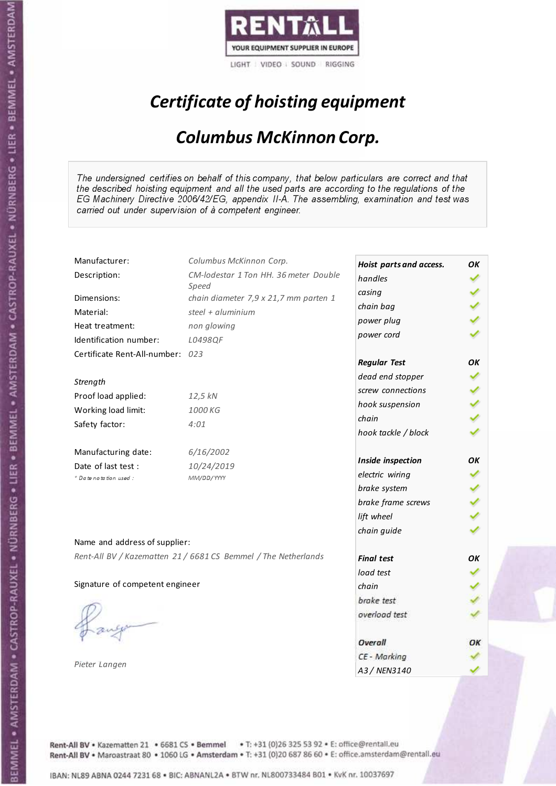

# Certificate of hoisting equipment

### Columbus McKinnon Corp.

The undersigned certifies on behalf of this company, that below particulars are correct and that the described hoisting equipment and all the used parts are according to the regulations of the EG Machinery Directive 2006/42/EG, appendix II-A. The assembling, examination and test was carried out under supervision of à competent engineer.

| Manufacturer:                    | Columbus McKinnon Corp.                                        | Hoist parts and access. | OK |
|----------------------------------|----------------------------------------------------------------|-------------------------|----|
| Description:                     | CM-lodestar 1 Ton HH. 36 meter Double                          | handles                 |    |
|                                  | Speed                                                          | casing                  |    |
| Dimensions:                      | chain diameter 7,9 x 21,7 mm parten 1                          | chain bag               |    |
| Material:                        | steel + $aluminim$                                             | power plug              |    |
| Heat treatment:                  | non glowing                                                    | power cord              |    |
| Identification number:           | L0498QF                                                        |                         |    |
| Certificate Rent-All-number: 023 |                                                                | <b>Regular Test</b>     | OК |
| Strength                         |                                                                | dead end stopper        |    |
| Proof load applied:              | 12,5 kN                                                        | screw connections       |    |
| Working load limit:              | 1000 KG                                                        | hook suspension         |    |
|                                  |                                                                | chain                   |    |
| Safety factor:                   | 4:01                                                           | hook tackle / block     |    |
| Manufacturing date:              | 6/16/2002                                                      |                         |    |
| Date of last test :              | 10/24/2019                                                     | Inside inspection       | OK |
| + Date notation used :           | MM/DD/YYYY                                                     | electric wiring         |    |
|                                  |                                                                | brake system            |    |
|                                  |                                                                | brake frame screws      |    |
|                                  |                                                                | lift wheel              |    |
| Name and address of supplier:    |                                                                | chain guide             |    |
|                                  | Rent-All BV / Kazematten 21 / 6681 CS Bemmel / The Netherlands |                         |    |
|                                  |                                                                | <b>Final test</b>       | OK |
|                                  |                                                                | load test               |    |
| Signature of competent engineer  |                                                                | chain                   |    |
|                                  |                                                                | brake test              |    |
|                                  |                                                                | overload test           |    |
|                                  |                                                                | Overall                 | ОΚ |
|                                  |                                                                | CE - Marking            |    |
| Pieter Langen                    |                                                                | A3 / NEN3140            |    |